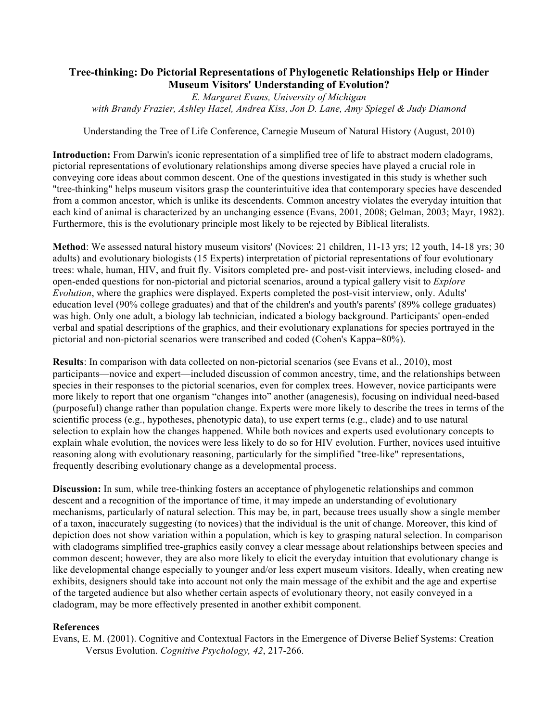## **Tree-thinking: Do Pictorial Representations of Phylogenetic Relationships Help or Hinder Museum Visitors' Understanding of Evolution?**

*E. Margaret Evans, University of Michigan with Brandy Frazier, Ashley Hazel, Andrea Kiss, Jon D. Lane, Amy Spiegel & Judy Diamond*

Understanding the Tree of Life Conference, Carnegie Museum of Natural History (August, 2010)

**Introduction:** From Darwin's iconic representation of a simplified tree of life to abstract modern cladograms, pictorial representations of evolutionary relationships among diverse species have played a crucial role in conveying core ideas about common descent. One of the questions investigated in this study is whether such "tree-thinking" helps museum visitors grasp the counterintuitive idea that contemporary species have descended from a common ancestor, which is unlike its descendents. Common ancestry violates the everyday intuition that each kind of animal is characterized by an unchanging essence (Evans, 2001, 2008; Gelman, 2003; Mayr, 1982). Furthermore, this is the evolutionary principle most likely to be rejected by Biblical literalists.

**Method**: We assessed natural history museum visitors' (Novices: 21 children, 11-13 yrs; 12 youth, 14-18 yrs; 30 adults) and evolutionary biologists (15 Experts) interpretation of pictorial representations of four evolutionary trees: whale, human, HIV, and fruit fly. Visitors completed pre- and post-visit interviews, including closed- and open-ended questions for non-pictorial and pictorial scenarios, around a typical gallery visit to *Explore Evolution*, where the graphics were displayed. Experts completed the post-visit interview, only. Adults' education level (90% college graduates) and that of the children's and youth's parents' (89% college graduates) was high. Only one adult, a biology lab technician, indicated a biology background. Participants' open-ended verbal and spatial descriptions of the graphics, and their evolutionary explanations for species portrayed in the pictorial and non-pictorial scenarios were transcribed and coded (Cohen's Kappa=80%).

**Results**: In comparison with data collected on non-pictorial scenarios (see Evans et al., 2010), most participants—novice and expert—included discussion of common ancestry, time, and the relationships between species in their responses to the pictorial scenarios, even for complex trees. However, novice participants were more likely to report that one organism "changes into" another (anagenesis), focusing on individual need-based (purposeful) change rather than population change. Experts were more likely to describe the trees in terms of the scientific process (e.g., hypotheses, phenotypic data), to use expert terms (e.g., clade) and to use natural selection to explain how the changes happened. While both novices and experts used evolutionary concepts to explain whale evolution, the novices were less likely to do so for HIV evolution. Further, novices used intuitive reasoning along with evolutionary reasoning, particularly for the simplified "tree-like" representations, frequently describing evolutionary change as a developmental process.

**Discussion:** In sum, while tree-thinking fosters an acceptance of phylogenetic relationships and common descent and a recognition of the importance of time, it may impede an understanding of evolutionary mechanisms, particularly of natural selection. This may be, in part, because trees usually show a single member of a taxon, inaccurately suggesting (to novices) that the individual is the unit of change. Moreover, this kind of depiction does not show variation within a population, which is key to grasping natural selection. In comparison with cladograms simplified tree-graphics easily convey a clear message about relationships between species and common descent; however, they are also more likely to elicit the everyday intuition that evolutionary change is like developmental change especially to younger and/or less expert museum visitors. Ideally, when creating new exhibits, designers should take into account not only the main message of the exhibit and the age and expertise of the targeted audience but also whether certain aspects of evolutionary theory, not easily conveyed in a cladogram, may be more effectively presented in another exhibit component.

## **References**

Evans, E. M. (2001). Cognitive and Contextual Factors in the Emergence of Diverse Belief Systems: Creation Versus Evolution. *Cognitive Psychology, 42*, 217-266.